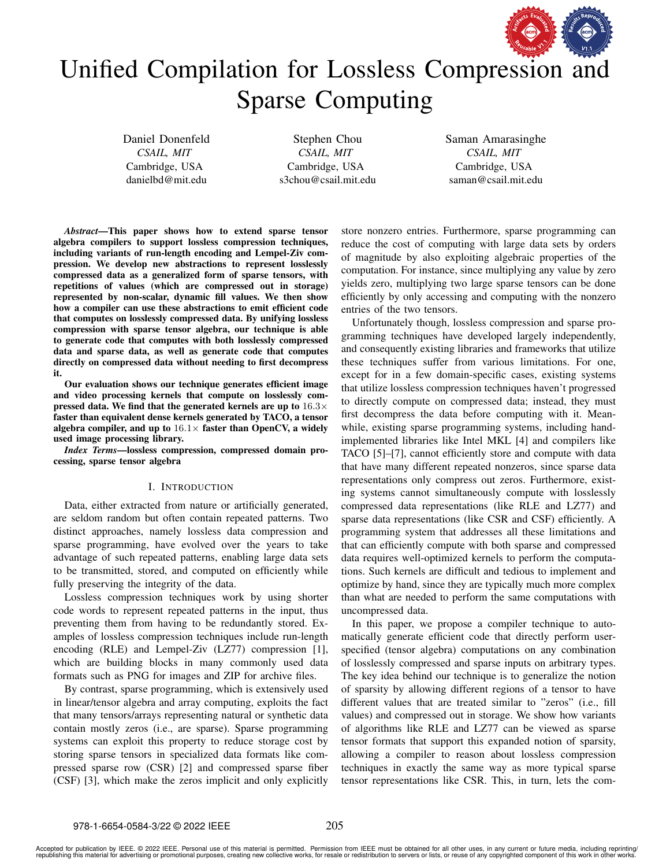

# Unified Compilation for Lossless C[ompression and](https://www.acm.org/publications/policies/artifact-review-and-badging-current) Sparse Computing

Daniel Donenfeld *CSAIL, MIT* Cambridge, USA danielbd@mit.edu

Stephen Chou *CSAIL, MIT* Cambridge, USA s3chou@csail.mit.edu Saman Amarasinghe *CSAIL, MIT* Cambridge, USA saman@csail.mit.edu

*Abstract*—This paper shows how to extend sparse tensor algebra compilers to support lossless compression techniques, including variants of run-length encoding and Lempel-Ziv compression. We develop new abstractions to represent losslessly compressed data as a generalized form of sparse tensors, with repetitions of values (which are compressed out in storage) represented by non-scalar, dynamic fill values. We then show how a compiler can use these abstractions to emit efficient code that computes on losslessly compressed data. By unifying lossless compression with sparse tensor algebra, our technique is able to generate code that computes with both losslessly compressed data and sparse data, as well as generate code that computes directly on compressed data without needing to first decompress it.

Our evaluation shows our technique generates efficient image and video processing kernels that compute on losslessly compressed data. We find that the generated kernels are up to  $16.3\times$ faster than equivalent dense kernels generated by TACO, a tensor algebra compiler, and up to  $16.1\times$  faster than OpenCV, a widely used image processing library.

*Index Terms*—lossless compression, compressed domain processing, sparse tensor algebra

# I. INTRODUCTION

Data, either extracted from nature or artificially generated, are seldom random but often contain repeated patterns. Two distinct approaches, namely lossless data compression and sparse programming, have evolved over the years to take advantage of such repeated patterns, enabling large data sets to be transmitted, stored, and computed on efficiently while fully preserving the integrity of the data.

Lossless compression techniques work by using shorter code words to represent repeated patterns in the input, thus preventing them from having to be redundantly stored. Examples of lossless compression techniques include run-length encoding (RLE) and Lempel-Ziv (LZ77) compression [\[1\]](#page-10-0), which are building blocks in many commonly used data formats such as PNG for images and ZIP for archive files.

By contrast, sparse programming, which is extensively used in linear/tensor algebra and array computing, exploits the fact that many tensors/arrays representing natural or synthetic data contain mostly zeros (i.e., are sparse). Sparse programming systems can exploit this property to reduce storage cost by storing sparse tensors in specialized data formats like compressed sparse row (CSR) [\[2\]](#page-10-1) and compressed sparse fiber (CSF) [\[3\]](#page-10-2), which make the zeros implicit and only explicitly

store nonzero entries. Furthermore, sparse programming can reduce the cost of computing with large data sets by orders of magnitude by also exploiting algebraic properties of the computation. For instance, since multiplying any value by zero yields zero, multiplying two large sparse tensors can be done efficiently by only accessing and computing with the nonzero entries of the two tensors.

Unfortunately though, lossless compression and sparse programming techniques have developed largely independently, and consequently existing libraries and frameworks that utilize these techniques suffer from various limitations. For one, except for in a few domain-specific cases, existing systems that utilize lossless compression techniques haven't progressed to directly compute on compressed data; instead, they must first decompress the data before computing with it. Meanwhile, existing sparse programming systems, including handimplemented libraries like Intel MKL [\[4\]](#page-10-3) and compilers like TACO [\[5\]](#page-10-4)–[\[7\]](#page-10-5), cannot efficiently store and compute with data that have many different repeated nonzeros, since sparse data representations only compress out zeros. Furthermore, existing systems cannot simultaneously compute with losslessly compressed data representations (like RLE and LZ77) and sparse data representations (like CSR and CSF) efficiently. A programming system that addresses all these limitations and that can efficiently compute with both sparse and compressed data requires well-optimized kernels to perform the computations. Such kernels are difficult and tedious to implement and optimize by hand, since they are typically much more complex than what are needed to perform the same computations with uncompressed data.

In this paper, we propose a compiler technique to automatically generate efficient code that directly perform userspecified (tensor algebra) computations on any combination of losslessly compressed and sparse inputs on arbitrary types. The key idea behind our technique is to generalize the notion of sparsity by allowing different regions of a tensor to have different values that are treated similar to "zeros" (i.e., fill values) and compressed out in storage. We show how variants of algorithms like RLE and LZ77 can be viewed as sparse tensor formats that support this expanded notion of sparsity, allowing a compiler to reason about lossless compression techniques in exactly the same way as more typical sparse tensor representations like CSR. This, in turn, lets the com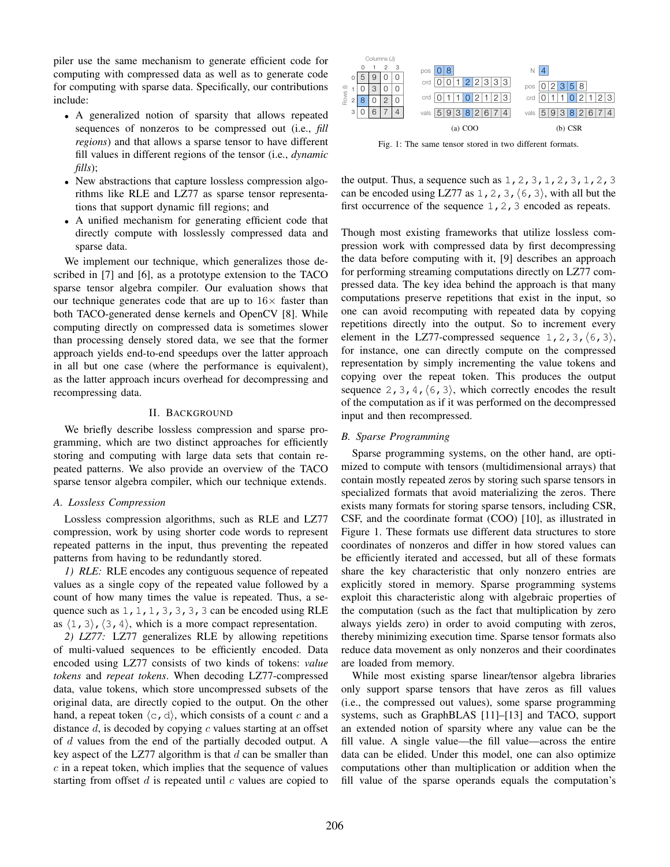piler use the same mechanism to generate efficient code for computing with compressed data as well as to generate code for computing with sparse data. Specifically, our contributions include:

- A generalized notion of sparsity that allows repeated sequences of nonzeros to be compressed out (i.e., *fill regions*) and that allows a sparse tensor to have different fill values in different regions of the tensor (i.e., *dynamic fills*);
- New abstractions that capture lossless compression algorithms like RLE and LZ77 as sparse tensor representations that support dynamic fill regions; and
- A unified mechanism for generating efficient code that directly compute with losslessly compressed data and sparse data.

We implement our technique, which generalizes those described in [\[7\]](#page-10-5) and [\[6\]](#page-10-6), as a prototype extension to the TACO sparse tensor algebra compiler. Our evaluation shows that our technique generates code that are up to  $16\times$  faster than both TACO-generated dense kernels and OpenCV [\[8\]](#page-10-7). While computing directly on compressed data is sometimes slower than processing densely stored data, we see that the former approach yields end-to-end speedups over the latter approach in all but one case (where the performance is equivalent), as the latter approach incurs overhead for decompressing and recompressing data.

## II. BACKGROUND

We briefly describe lossless compression and sparse programming, which are two distinct approaches for efficiently storing and computing with large data sets that contain repeated patterns. We also provide an overview of the TACO sparse tensor algebra compiler, which our technique extends.

## *A. Lossless Compression*

Lossless compression algorithms, such as RLE and LZ77 compression, work by using shorter code words to represent repeated patterns in the input, thus preventing the repeated patterns from having to be redundantly stored.

*1) RLE:* RLE encodes any contiguous sequence of repeated values as a single copy of the repeated value followed by a count of how many times the value is repeated. Thus, a sequence such as  $1, 1, 1, 3, 3, 3, 3$  can be encoded using RLE as  $\langle 1, 3 \rangle$ ,  $\langle 3, 4 \rangle$ , which is a more compact representation.

*2) LZ77:* LZ77 generalizes RLE by allowing repetitions of multi-valued sequences to be efficiently encoded. Data encoded using LZ77 consists of two kinds of tokens: *value tokens* and *repeat tokens*. When decoding LZ77-compressed data, value tokens, which store uncompressed subsets of the original data, are directly copied to the output. On the other hand, a repeat token  $\langle c, d \rangle$ , which consists of a count c and a distance  $d$ , is decoded by copying  $c$  values starting at an offset of d values from the end of the partially decoded output. A key aspect of the LZ77 algorithm is that  $d$  can be smaller than  $c$  in a repeat token, which implies that the sequence of values starting from offset  $d$  is repeated until  $c$  values are copied to

<span id="page-1-0"></span>

Fig. 1: The same tensor stored in two different formats.

the output. Thus, a sequence such as  $1, 2, 3, 1, 2, 3, 1, 2, 3$ can be encoded using LZ77 as 1, 2, 3,  $(6, 3)$ , with all but the first occurrence of the sequence 1, 2, 3 encoded as repeats.

Though most existing frameworks that utilize lossless compression work with compressed data by first decompressing the data before computing with it, [\[9\]](#page-10-8) describes an approach for performing streaming computations directly on LZ77 compressed data. The key idea behind the approach is that many computations preserve repetitions that exist in the input, so one can avoid recomputing with repeated data by copying repetitions directly into the output. So to increment every element in the LZ77-compressed sequence 1, 2, 3,  $(6,3)$ , for instance, one can directly compute on the compressed representation by simply incrementing the value tokens and copying over the repeat token. This produces the output sequence 2, 3, 4,  $(6, 3)$ , which correctly encodes the result of the computation as if it was performed on the decompressed input and then recompressed.

## *B. Sparse Programming*

Sparse programming systems, on the other hand, are optimized to compute with tensors (multidimensional arrays) that contain mostly repeated zeros by storing such sparse tensors in specialized formats that avoid materializing the zeros. There exists many formats for storing sparse tensors, including CSR, CSF, and the coordinate format (COO) [\[10\]](#page-10-9), as illustrated in Figure [1.](#page-1-0) These formats use different data structures to store coordinates of nonzeros and differ in how stored values can be efficiently iterated and accessed, but all of these formats share the key characteristic that only nonzero entries are explicitly stored in memory. Sparse programming systems exploit this characteristic along with algebraic properties of the computation (such as the fact that multiplication by zero always yields zero) in order to avoid computing with zeros, thereby minimizing execution time. Sparse tensor formats also reduce data movement as only nonzeros and their coordinates are loaded from memory.

While most existing sparse linear/tensor algebra libraries only support sparse tensors that have zeros as fill values (i.e., the compressed out values), some sparse programming systems, such as GraphBLAS [\[11\]](#page-10-10)–[\[13\]](#page-10-11) and TACO, support an extended notion of sparsity where any value can be the fill value. A single value—the fill value—across the entire data can be elided. Under this model, one can also optimize computations other than multiplication or addition when the fill value of the sparse operands equals the computation's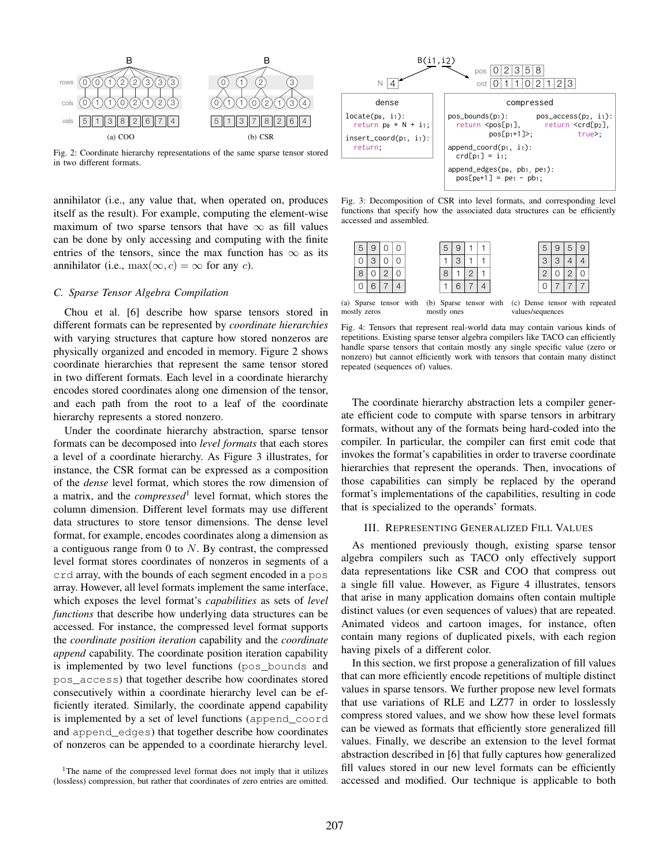<span id="page-2-0"></span>

Fig. 2: Coordinate hierarchy representations of the same sparse tensor stored in two different formats.

annihilator (i.e., any value that, when operated on, produces itself as the result). For example, computing the element-wise maximum of two sparse tensors that have  $\infty$  as fill values can be done by only accessing and computing with the finite entries of the tensors, since the max function has  $\infty$  as its annihilator (i.e., max $(\infty, c) = \infty$  for any c).

## <span id="page-2-5"></span>*C. Sparse Tensor Algebra Compilation*

Chou et al. [\[6\]](#page-10-6) describe how sparse tensors stored in different formats can be represented by *coordinate hierarchies* with varying structures that capture how stored nonzeros are physically organized and encoded in memory. Figure [2](#page-2-0) shows coordinate hierarchies that represent the same tensor stored in two different formats. Each level in a coordinate hierarchy encodes stored coordinates along one dimension of the tensor, and each path from the root to a leaf of the coordinate hierarchy represents a stored nonzero.

Under the coordinate hierarchy abstraction, sparse tensor formats can be decomposed into *level formats* that each stores a level of a coordinate hierarchy. As Figure [3](#page-2-1) illustrates, for instance, the CSR format can be expressed as a composition of the *dense* level format, which stores the row dimension of a matrix, and the *compressed*[1](#page-2-2) level format, which stores the column dimension. Different level formats may use different data structures to store tensor dimensions. The dense level format, for example, encodes coordinates along a dimension as a contiguous range from  $0$  to  $N$ . By contrast, the compressed level format stores coordinates of nonzeros in segments of a crd array, with the bounds of each segment encoded in a pos array. However, all level formats implement the same interface, which exposes the level format's *capabilities* as sets of *level functions* that describe how underlying data structures can be accessed. For instance, the compressed level format supports the *coordinate position iteration* capability and the *coordinate append* capability. The coordinate position iteration capability is implemented by two level functions (pos\_bounds and pos\_access) that together describe how coordinates stored consecutively within a coordinate hierarchy level can be efficiently iterated. Similarly, the coordinate append capability is implemented by a set of level functions (append\_coord and append\_edges) that together describe how coordinates of nonzeros can be appended to a coordinate hierarchy level.

<span id="page-2-1"></span>

Fig. 3: Decomposition of CSR into level formats, and corresponding level functions that specify how the associated data structures can be efficiently accessed and assembled.

<span id="page-2-3"></span>

| 5 |  |  | 5      |   |  |
|---|--|--|--------|---|--|
|   |  |  |        | ⌒ |  |
| 8 |  |  | n<br>ï |   |  |
| u |  |  |        |   |  |

(a) Sparse tensor with mostly zeros (b) Sparse tensor with (c) Dense tensor with repeated mostly ones values/sequences

Fig. 4: Tensors that represent real-world data may contain various kinds of repetitions. Existing sparse tensor algebra compilers like TACO can efficiently handle sparse tensors that contain mostly any single specific value (zero or nonzero) but cannot efficiently work with tensors that contain many distinct repeated (sequences of) values.

The coordinate hierarchy abstraction lets a compiler generate efficient code to compute with sparse tensors in arbitrary formats, without any of the formats being hard-coded into the compiler. In particular, the compiler can first emit code that invokes the format's capabilities in order to traverse coordinate hierarchies that represent the operands. Then, invocations of those capabilities can simply be replaced by the operand format's implementations of the capabilities, resulting in code that is specialized to the operands' formats.

# III. REPRESENTING GENERALIZED FILL VALUES

<span id="page-2-4"></span>As mentioned previously though, existing sparse tensor algebra compilers such as TACO only effectively support data representations like CSR and COO that compress out a single fill value. However, as Figure [4](#page-2-3) illustrates, tensors that arise in many application domains often contain multiple distinct values (or even sequences of values) that are repeated. Animated videos and cartoon images, for instance, often contain many regions of duplicated pixels, with each region having pixels of a different color.

In this section, we first propose a generalization of fill values that can more efficiently encode repetitions of multiple distinct values in sparse tensors. We further propose new level formats that use variations of RLE and LZ77 in order to losslessly compress stored values, and we show how these level formats can be viewed as formats that efficiently store generalized fill values. Finally, we describe an extension to the level format abstraction described in [\[6\]](#page-10-6) that fully captures how generalized fill values stored in our new level formats can be efficiently accessed and modified. Our technique is applicable to both

<span id="page-2-2"></span><sup>&</sup>lt;sup>1</sup>The name of the compressed level format does not imply that it utilizes (lossless) compression, but rather that coordinates of zero entries are omitted.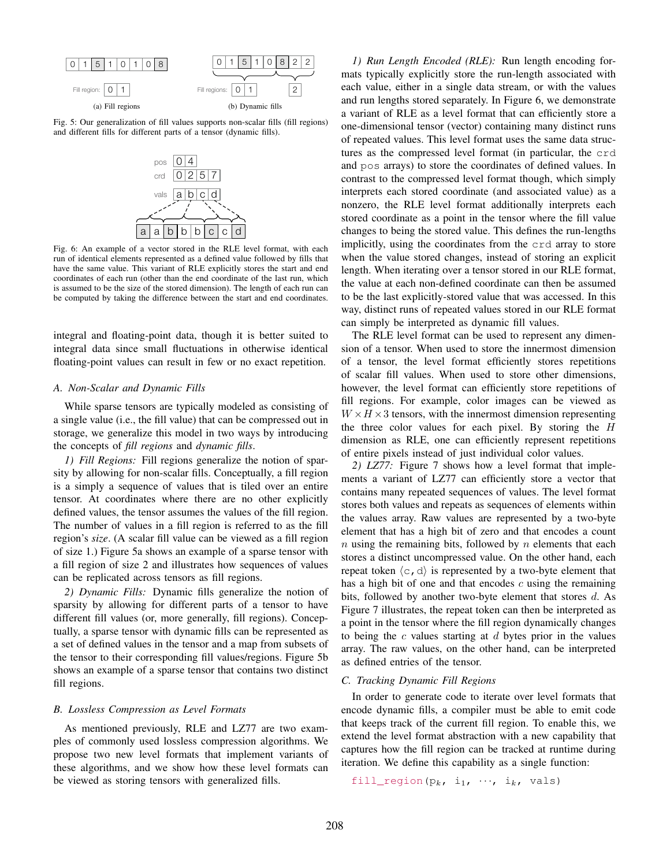<span id="page-3-0"></span>

<span id="page-3-1"></span>Fig. 5: Our generalization of fill values supports non-scalar fills (fill regions) and different fills for different parts of a tensor (dynamic fills).



Fig. 6: An example of a vector stored in the RLE level format, with each run of identical elements represented as a defined value followed by fills that have the same value. This variant of RLE explicitly stores the start and end coordinates of each run (other than the end coordinate of the last run, which is assumed to be the size of the stored dimension). The length of each run can be computed by taking the difference between the start and end coordinates.

integral and floating-point data, though it is better suited to integral data since small fluctuations in otherwise identical floating-point values can result in few or no exact repetition.

#### *A. Non-Scalar and Dynamic Fills*

While sparse tensors are typically modeled as consisting of a single value (i.e., the fill value) that can be compressed out in storage, we generalize this model in two ways by introducing the concepts of *fill regions* and *dynamic fills*.

*1) Fill Regions:* Fill regions generalize the notion of sparsity by allowing for non-scalar fills. Conceptually, a fill region is a simply a sequence of values that is tiled over an entire tensor. At coordinates where there are no other explicitly defined values, the tensor assumes the values of the fill region. The number of values in a fill region is referred to as the fill region's *size*. (A scalar fill value can be viewed as a fill region of size 1.) Figure [5a](#page-3-0) shows an example of a sparse tensor with a fill region of size 2 and illustrates how sequences of values can be replicated across tensors as fill regions.

*2) Dynamic Fills:* Dynamic fills generalize the notion of sparsity by allowing for different parts of a tensor to have different fill values (or, more generally, fill regions). Conceptually, a sparse tensor with dynamic fills can be represented as a set of defined values in the tensor and a map from subsets of the tensor to their corresponding fill values/regions. Figure [5b](#page-3-0) shows an example of a sparse tensor that contains two distinct fill regions.

# *B. Lossless Compression as Level Formats*

As mentioned previously, RLE and LZ77 are two examples of commonly used lossless compression algorithms. We propose two new level formats that implement variants of these algorithms, and we show how these level formats can be viewed as storing tensors with generalized fills.

*1) Run Length Encoded (RLE):* Run length encoding formats typically explicitly store the run-length associated with each value, either in a single data stream, or with the values and run lengths stored separately. In Figure [6,](#page-3-1) we demonstrate a variant of RLE as a level format that can efficiently store a one-dimensional tensor (vector) containing many distinct runs of repeated values. This level format uses the same data structures as the compressed level format (in particular, the crd and pos arrays) to store the coordinates of defined values. In contrast to the compressed level format though, which simply interprets each stored coordinate (and associated value) as a nonzero, the RLE level format additionally interprets each stored coordinate as a point in the tensor where the fill value changes to being the stored value. This defines the run-lengths implicitly, using the coordinates from the crd array to store when the value stored changes, instead of storing an explicit length. When iterating over a tensor stored in our RLE format, the value at each non-defined coordinate can then be assumed to be the last explicitly-stored value that was accessed. In this way, distinct runs of repeated values stored in our RLE format can simply be interpreted as dynamic fill values.

The RLE level format can be used to represent any dimension of a tensor. When used to store the innermost dimension of a tensor, the level format efficiently stores repetitions of scalar fill values. When used to store other dimensions, however, the level format can efficiently store repetitions of fill regions. For example, color images can be viewed as  $W \times H \times 3$  tensors, with the innermost dimension representing the three color values for each pixel. By storing the H dimension as RLE, one can efficiently represent repetitions of entire pixels instead of just individual color values.

*2) LZ77:* Figure [7](#page-4-0) shows how a level format that implements a variant of LZ77 can efficiently store a vector that contains many repeated sequences of values. The level format stores both values and repeats as sequences of elements within the values array. Raw values are represented by a two-byte element that has a high bit of zero and that encodes a count  $n$  using the remaining bits, followed by  $n$  elements that each stores a distinct uncompressed value. On the other hand, each repeat token  $\langle c, d \rangle$  is represented by a two-byte element that has a high bit of one and that encodes  $c$  using the remaining bits, followed by another two-byte element that stores d. As Figure [7](#page-4-0) illustrates, the repeat token can then be interpreted as a point in the tensor where the fill region dynamically changes to being the  $c$  values starting at  $d$  bytes prior in the values array. The raw values, on the other hand, can be interpreted as defined entries of the tensor.

#### *C. Tracking Dynamic Fill Regions*

In order to generate code to iterate over level formats that encode dynamic fills, a compiler must be able to emit code that keeps track of the current fill region. To enable this, we extend the level format abstraction with a new capability that captures how the fill region can be tracked at runtime during iteration. We define this capability as a single function:

```
fill_region(p_k, i<sub>1</sub>, \cdots, i<sub>k</sub>, vals)
```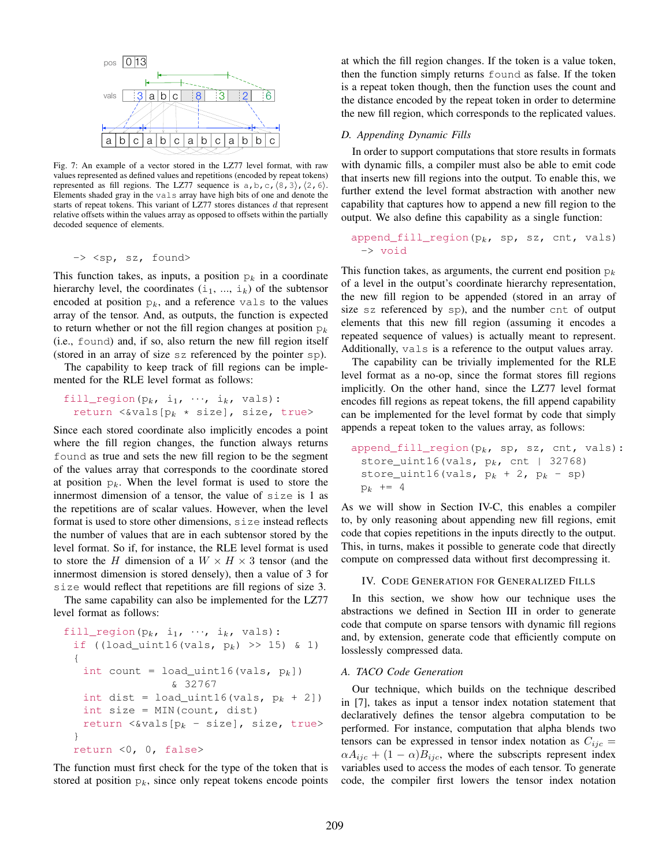<span id="page-4-0"></span>

Fig. 7: An example of a vector stored in the LZ77 level format, with raw values represented as defined values and repetitions (encoded by repeat tokens) represented as fill regions. The LZ77 sequence is  $a, b, c, (8, 3), (2, 6)$ . Elements shaded gray in the vals array have high bits of one and denote the starts of repeat tokens. This variant of LZ77 stores distances d that represent relative offsets within the values array as opposed to offsets within the partially decoded sequence of elements.

-> <sp, sz, found>

This function takes, as inputs, a position  $p_k$  in a coordinate hierarchy level, the coordinates  $(i_1, ..., i_k)$  of the subtensor encoded at position  $p_k$ , and a reference vals to the values array of the tensor. And, as outputs, the function is expected to return whether or not the fill region changes at position  $p_k$ (i.e., found) and, if so, also return the new fill region itself (stored in an array of size sz referenced by the pointer sp).

The capability to keep track of fill regions can be implemented for the RLE level format as follows:

```
fill_region(p_k, i<sub>1</sub>, \cdots, i<sub>k</sub>, vals):
  return <>vals[p_k \times size], size, true>
```
Since each stored coordinate also implicitly encodes a point where the fill region changes, the function always returns found as true and sets the new fill region to be the segment of the values array that corresponds to the coordinate stored at position  $p_k$ . When the level format is used to store the innermost dimension of a tensor, the value of size is 1 as the repetitions are of scalar values. However, when the level format is used to store other dimensions, size instead reflects the number of values that are in each subtensor stored by the level format. So if, for instance, the RLE level format is used to store the H dimension of a  $W \times H \times 3$  tensor (and the innermost dimension is stored densely), then a value of 3 for size would reflect that repetitions are fill regions of size 3.

The same capability can also be implemented for the LZ77 level format as follows:

```
fill_region(p_k, i<sub>1</sub>, \cdots, i<sub>k</sub>, vals):
 if ((load_uint16(vals, p_k) >> 15) & 1)
 {
   int count = load_uint16(vals, p_k])
                    & 32767
   int dist = load_uint16(vals, p_k + 2])
   int size = MIN(count, dist)
   return <wals[p<sub>k</sub> - size], size, true>
 }
 return <0, 0, false>
```
The function must first check for the type of the token that is stored at position  $p_k$ , since only repeat tokens encode points at which the fill region changes. If the token is a value token, then the function simply returns found as false. If the token is a repeat token though, then the function uses the count and the distance encoded by the repeat token in order to determine the new fill region, which corresponds to the replicated values.

# *D. Appending Dynamic Fills*

In order to support computations that store results in formats with dynamic fills, a compiler must also be able to emit code that inserts new fill regions into the output. To enable this, we further extend the level format abstraction with another new capability that captures how to append a new fill region to the output. We also define this capability as a single function:

`append_fill_region(p_k, sp, sz, ent, vals)` 
$$
\rightarrow
$$
 `void`

This function takes, as arguments, the current end position  $p_k$ of a level in the output's coordinate hierarchy representation, the new fill region to be appended (stored in an array of size sz referenced by sp), and the number cnt of output elements that this new fill region (assuming it encodes a repeated sequence of values) is actually meant to represent. Additionally, vals is a reference to the output values array.

The capability can be trivially implemented for the RLE level format as a no-op, since the format stores fill regions implicitly. On the other hand, since the LZ77 level format encodes fill regions as repeat tokens, the fill append capability can be implemented for the level format by code that simply appends a repeat token to the values array, as follows:

append\_fill\_region(pk, sp, sz, cnt, vals): store\_uint16(vals, pk, cnt | 32768) store\_uint16(vals, p<sup>k</sup> + 2, p<sup>k</sup> - sp) p<sup>k</sup> += 4

As we will show in Section [IV-C,](#page-5-0) this enables a compiler to, by only reasoning about appending new fill regions, emit code that copies repetitions in the inputs directly to the output. This, in turns, makes it possible to generate code that directly compute on compressed data without first decompressing it.

# IV. CODE GENERATION FOR GENERALIZED FILLS

In this section, we show how our technique uses the abstractions we defined in Section [III](#page-2-4) in order to generate code that compute on sparse tensors with dynamic fill regions and, by extension, generate code that efficiently compute on losslessly compressed data.

#### <span id="page-4-1"></span>*A. TACO Code Generation*

Our technique, which builds on the technique described in [\[7\]](#page-10-5), takes as input a tensor index notation statement that declaratively defines the tensor algebra computation to be performed. For instance, computation that alpha blends two tensors can be expressed in tensor index notation as  $C_{ijc}$  =  $\alpha A_{ijc} + (1 - \alpha) B_{ijc}$ , where the subscripts represent index variables used to access the modes of each tensor. To generate code, the compiler first lowers the tensor index notation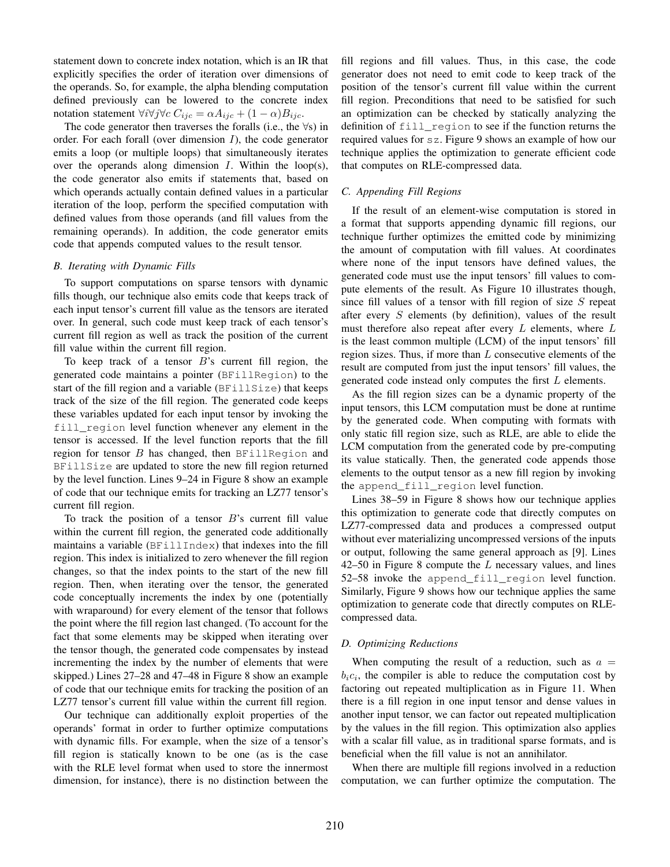statement down to concrete index notation, which is an IR that explicitly specifies the order of iteration over dimensions of the operands. So, for example, the alpha blending computation defined previously can be lowered to the concrete index notation statement  $\forall i \forall j \forall c \ C_{ijc} = \alpha A_{ijc} + (1 - \alpha) B_{ijc}$ .

The code generator then traverses the foralls (i.e., the  $\forall s$ ) in order. For each forall (over dimension  $I$ ), the code generator emits a loop (or multiple loops) that simultaneously iterates over the operands along dimension  $I$ . Within the loop(s), the code generator also emits if statements that, based on which operands actually contain defined values in a particular iteration of the loop, perform the specified computation with defined values from those operands (and fill values from the remaining operands). In addition, the code generator emits code that appends computed values to the result tensor.

# *B. Iterating with Dynamic Fills*

To support computations on sparse tensors with dynamic fills though, our technique also emits code that keeps track of each input tensor's current fill value as the tensors are iterated over. In general, such code must keep track of each tensor's current fill region as well as track the position of the current fill value within the current fill region.

To keep track of a tensor  $B$ 's current fill region, the generated code maintains a pointer (BFillRegion) to the start of the fill region and a variable (BFillSize) that keeps track of the size of the fill region. The generated code keeps these variables updated for each input tensor by invoking the fill\_region level function whenever any element in the tensor is accessed. If the level function reports that the fill region for tensor  $B$  has changed, then BFillRegion and BFillSize are updated to store the new fill region returned by the level function. Lines 9–24 in Figure [8](#page-6-0) show an example of code that our technique emits for tracking an LZ77 tensor's current fill region.

To track the position of a tensor  $B$ 's current fill value within the current fill region, the generated code additionally maintains a variable (BFillIndex) that indexes into the fill region. This index is initialized to zero whenever the fill region changes, so that the index points to the start of the new fill region. Then, when iterating over the tensor, the generated code conceptually increments the index by one (potentially with wraparound) for every element of the tensor that follows the point where the fill region last changed. (To account for the fact that some elements may be skipped when iterating over the tensor though, the generated code compensates by instead incrementing the index by the number of elements that were skipped.) Lines 27–28 and 47–48 in Figure [8](#page-6-0) show an example of code that our technique emits for tracking the position of an LZ77 tensor's current fill value within the current fill region.

Our technique can additionally exploit properties of the operands' format in order to further optimize computations with dynamic fills. For example, when the size of a tensor's fill region is statically known to be one (as is the case with the RLE level format when used to store the innermost dimension, for instance), there is no distinction between the fill regions and fill values. Thus, in this case, the code generator does not need to emit code to keep track of the position of the tensor's current fill value within the current fill region. Preconditions that need to be satisfied for such an optimization can be checked by statically analyzing the definition of fill\_region to see if the function returns the required values for sz. Figure [9](#page-6-1) shows an example of how our technique applies the optimization to generate efficient code that computes on RLE-compressed data.

# <span id="page-5-0"></span>*C. Appending Fill Regions*

If the result of an element-wise computation is stored in a format that supports appending dynamic fill regions, our technique further optimizes the emitted code by minimizing the amount of computation with fill values. At coordinates where none of the input tensors have defined values, the generated code must use the input tensors' fill values to compute elements of the result. As Figure [10](#page-6-2) illustrates though, since fill values of a tensor with fill region of size  $S$  repeat after every S elements (by definition), values of the result must therefore also repeat after every  $L$  elements, where  $L$ is the least common multiple (LCM) of the input tensors' fill region sizes. Thus, if more than  $L$  consecutive elements of the result are computed from just the input tensors' fill values, the generated code instead only computes the first L elements.

As the fill region sizes can be a dynamic property of the input tensors, this LCM computation must be done at runtime by the generated code. When computing with formats with only static fill region size, such as RLE, are able to elide the LCM computation from the generated code by pre-computing its value statically. Then, the generated code appends those elements to the output tensor as a new fill region by invoking the append\_fill\_region level function.

Lines 38–59 in Figure [8](#page-6-0) shows how our technique applies this optimization to generate code that directly computes on LZ77-compressed data and produces a compressed output without ever materializing uncompressed versions of the inputs or output, following the same general approach as [\[9\]](#page-10-8). Lines  $42-50$  in Figure [8](#page-6-0) compute the  $L$  necessary values, and lines 52–58 invoke the append\_fill\_region level function. Similarly, Figure [9](#page-6-1) shows how our technique applies the same optimization to generate code that directly computes on RLEcompressed data.

#### *D. Optimizing Reductions*

When computing the result of a reduction, such as  $a =$  $b_i c_i$ , the compiler is able to reduce the computation cost by factoring out repeated multiplication as in Figure [11.](#page-6-3) When there is a fill region in one input tensor and dense values in another input tensor, we can factor out repeated multiplication by the values in the fill region. This optimization also applies with a scalar fill value, as in traditional sparse formats, and is beneficial when the fill value is not an annihilator.

When there are multiple fill regions involved in a reduction computation, we can further optimize the computation. The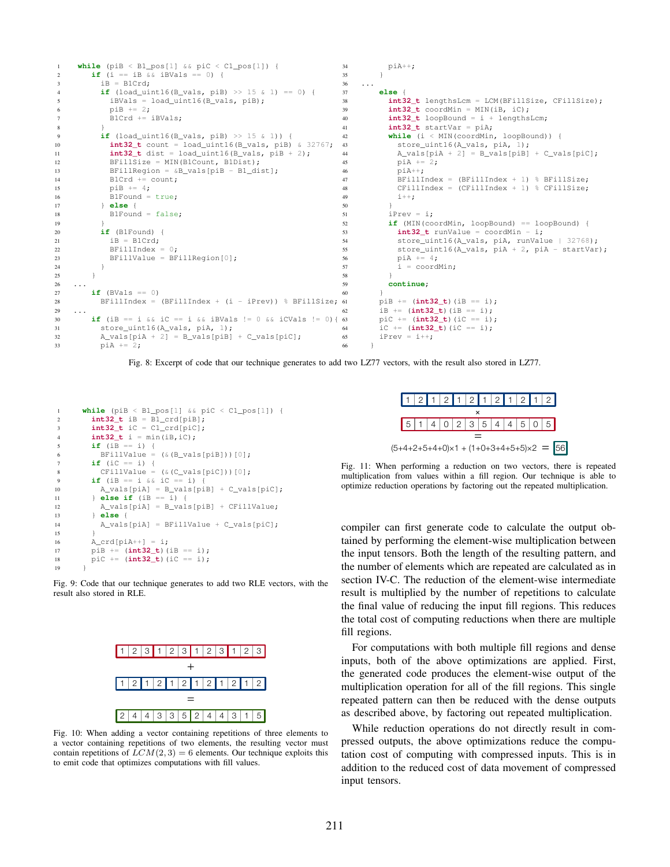```
1 while (piB < B1_pos[1] && piC < C1_pos[1]) {
2 if (i == iB & & iBVals == 0) {
iB = B1Crd;if (load\_uint16(B\_vals, pib) >> 15 & 1) == 0) {
          5 iBVals = load_uint16(B_vals, piB);
           piB += 2;B1Crd += iBVals;
 8 }
         if (load\_uint16(B\_vals, pib) >> 15 & 1) {
10 int32_t count = load_uint16(B_vals, piB) & 32767;
11 int32_t dist = load_uint16(B_vals, piB + 2);
12 BFillSize = MIN(B1Count, B1Dist);
13 BFillRegion = &B_xvals[piB - B1_dist];<br>14 B1Crd += count:
           B1Crd += count;
15 pib := 4;16 B1Found = true;
17 else {<br>18 B1Found
           B1Found = false;
19 }
20 if (B1Found) {
iB = B1Crd;
22 BFillIndex = 0;23 BFillValue = \text{BrillRequired}[0];
24 }
25 }
26 ...
27 if (BVals == 0)
28 BFillIndex = (BFillIndex + (i - iPrev)) % BFillSize;
29 ...
30 if (iB == i & \& iC == i \& \& iBVals != 0 \& \& iCVals != 0){ 63
31 store_uint16(A_vals, piA, 1);
32 A_vals[piA + 2] = B_vals[piB] + C_vals[piC];
33 pi + = 2;
                                                             34 piA++;
                                                             35 }
                                                             36 ...
                                                             37 else {
                                                                      38 int32_t lengthsLcm = LCM(BFillSize, CFillSize);
                                                             39 int32_t \text{ coordinate} = MIN(iB, iC);<br>40 int32_t \text{loopBound} = i + lenaths40 int32_t loopBound = i + lengthsLcm;
                                                             41 int32_t startVar = piA;
                                                             42 while (i < MIN(coordMin, loopBound)) {<br>43 store uint16(A vals, piA, 1);
                                                                        store_uint16(A_vals, piA, 1);
                                                             44 A_Y = B_Y = B_Y = [piB] + C_Y = [piB]<br>45 pi = 2;
                                                                        pi A += 2;46 p\ddot{A}++;<br>47 BFillT
                                                                         BFillIndex = (BFillIndex + 1) % BFillSize;
                                                             48 CFillIndex = (CFillIndex + 1) % CFillSize;
                                                             49 i++;50 }
                                                            51 iPrev = i;
                                                            52 if (MIN(coordMin, loopBound) == loopBound) {
                                                            53 int32_t runValue = \frac{1}{1} coordMin - i;
                                                             54 store_uint16(A_vals, piA, runValue | 32768);
55 store_uint16(A_vals, piA + 2, piA - startVar);
                                                             56 p i A + = 4;57 i = \text{coordMin};58 }
                                                            59 continue;
                                                             60 }
                                                                    61 piB += (int32_t)(iB == i);
                                                            62 iB += (int32_t)(iB == i);
                                                                     63 piC += (int32_t)(iC == i);
                                                            64 iC == (int32_t)(iC == i);65 iPrev = i++;
                                                             66 }
```
Fig. 8: Excerpt of code that our technique generates to add two LZ77 vectors, with the result also stored in LZ77.

```
1 while (piB < B1_pos[1] && piC < C1_pos[1]) {
2 int32_t iB = B1_crd[piB];
3 int32_t iC = C1_crd[piC];
4 int32_t i = min(iB,iC);
5 if (iB == i) {
6 BFillValue = (\&(B\text{ vals}[pib]))[0];7 if (iC == i) {
8 CFillValue = (&(C_vals[piC]))[0];
9 if (iB == i & iC == i) {
10 A_vals[piA] = B_vals[piB] + C_vals[piC];
11 } else if (iB == i) {
12 A_vals[piA] = B_vals[piB] + CFillValue;
13 } else {
14 A_vals[piA] = BFillValue + C_vals[piC];
15 }
16 A_crd[piA++] = i;
17 piB += (int32_t)(iB == i);
18 piC += (int32_t)(iC == i);
19 }
```
Fig. 9: Code that our technique generates to add two RLE vectors, with the result also stored in RLE.

<span id="page-6-2"></span>

Fig. 10: When adding a vector containing repetitions of three elements to a vector containing repetitions of two elements, the resulting vector must contain repetitions of  $LCM(2, 3) = 6$  elements. Our technique exploits this to emit code that optimizes computations with fill values.

<span id="page-6-3"></span>

Fig. 11: When performing a reduction on two vectors, there is repeated multiplication from values within a fill region. Our technique is able to optimize reduction operations by factoring out the repeated multiplication.

compiler can first generate code to calculate the output obtained by performing the element-wise multiplication between the input tensors. Both the length of the resulting pattern, and the number of elements which are repeated are calculated as in section [IV-C.](#page-5-0) The reduction of the element-wise intermediate result is multiplied by the number of repetitions to calculate the final value of reducing the input fill regions. This reduces the total cost of computing reductions when there are multiple fill regions.

For computations with both multiple fill regions and dense inputs, both of the above optimizations are applied. First, the generated code produces the element-wise output of the multiplication operation for all of the fill regions. This single repeated pattern can then be reduced with the dense outputs as described above, by factoring out repeated multiplication.

While reduction operations do not directly result in compressed outputs, the above optimizations reduce the computation cost of computing with compressed inputs. This is in addition to the reduced cost of data movement of compressed input tensors.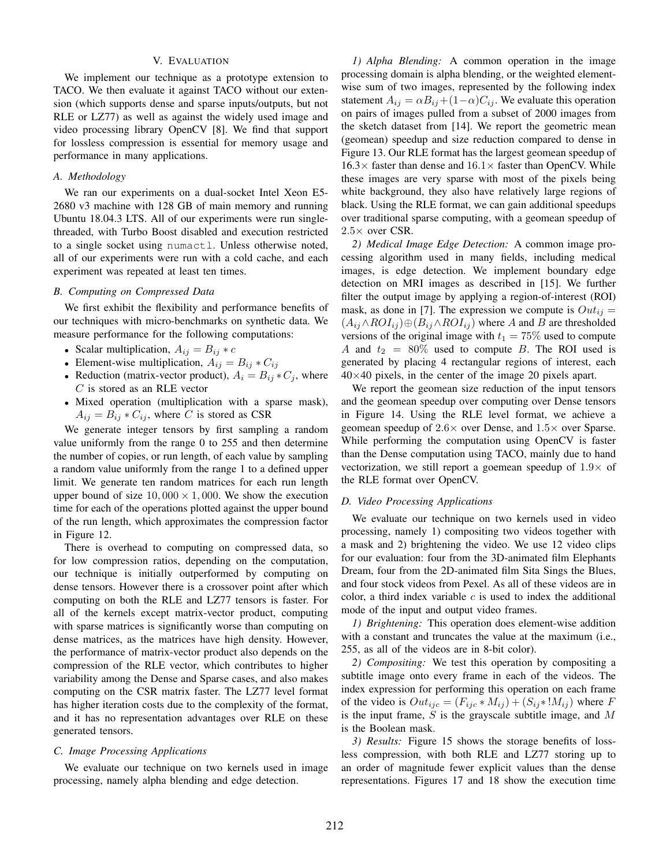# V. EVALUATION

We implement our technique as a prototype extension to TACO. We then evaluate it against TACO without our extension (which supports dense and sparse inputs/outputs, but not RLE or LZ77) as well as against the widely used image and video processing library OpenCV [\[8\]](#page-10-7). We find that support for lossless compression is essential for memory usage and performance in many applications.

# *A. Methodology*

We ran our experiments on a dual-socket Intel Xeon E5- 2680 v3 machine with 128 GB of main memory and running Ubuntu 18.04.3 LTS. All of our experiments were run singlethreaded, with Turbo Boost disabled and execution restricted to a single socket using numactl. Unless otherwise noted, all of our experiments were run with a cold cache, and each experiment was repeated at least ten times.

#### *B. Computing on Compressed Data*

We first exhibit the flexibility and performance benefits of our techniques with micro-benchmarks on synthetic data. We measure performance for the following computations:

- Scalar multiplication,  $A_{ij} = B_{ij} * c$
- Element-wise multiplication,  $A_{ij} = B_{ij} * C_{ij}$
- Reduction (matrix-vector product),  $A_i = B_{ij} * C_j$ , where C is stored as an RLE vector
- Mixed operation (multiplication with a sparse mask),  $A_{ij} = B_{ij} * C_{ij}$ , where C is stored as CSR

We generate integer tensors by first sampling a random value uniformly from the range 0 to 255 and then determine the number of copies, or run length, of each value by sampling a random value uniformly from the range 1 to a defined upper limit. We generate ten random matrices for each run length upper bound of size  $10,000 \times 1,000$ . We show the execution time for each of the operations plotted against the upper bound of the run length, which approximates the compression factor in Figure [12.](#page-8-0)

There is overhead to computing on compressed data, so for low compression ratios, depending on the computation, our technique is initially outperformed by computing on dense tensors. However there is a crossover point after which computing on both the RLE and LZ77 tensors is faster. For all of the kernels except matrix-vector product, computing with sparse matrices is significantly worse than computing on dense matrices, as the matrices have high density. However, the performance of matrix-vector product also depends on the compression of the RLE vector, which contributes to higher variability among the Dense and Sparse cases, and also makes computing on the CSR matrix faster. The LZ77 level format has higher iteration costs due to the complexity of the format, and it has no representation advantages over RLE on these generated tensors.

# *C. Image Processing Applications*

We evaluate our technique on two kernels used in image processing, namely alpha blending and edge detection.

*1) Alpha Blending:* A common operation in the image processing domain is alpha blending, or the weighted elementwise sum of two images, represented by the following index statement  $A_{ij} = \alpha B_{ij} + (1-\alpha)C_{ij}$ . We evaluate this operation on pairs of images pulled from a subset of 2000 images from the sketch dataset from [\[14\]](#page-10-12). We report the geometric mean (geomean) speedup and size reduction compared to dense in Figure [13.](#page-8-1) Our RLE format has the largest geomean speedup of  $16.3\times$  faster than dense and  $16.1\times$  faster than OpenCV. While these images are very sparse with most of the pixels being white background, they also have relatively large regions of black. Using the RLE format, we can gain additional speedups over traditional sparse computing, with a geomean speedup of  $2.5\times$  over CSR.

*2) Medical Image Edge Detection:* A common image processing algorithm used in many fields, including medical images, is edge detection. We implement boundary edge detection on MRI images as described in [\[15\]](#page-10-13). We further filter the output image by applying a region-of-interest (ROI) mask, as done in [\[7\]](#page-10-5). The expression we compute is  $Out_{ij} =$  $(A_{ij} \wedge ROI_{ij}) \oplus (B_{ij} \wedge ROI_{ij})$  where A and B are thresholded versions of the original image with  $t_1 = 75\%$  used to compute A and  $t_2 = 80\%$  used to compute B. The ROI used is generated by placing 4 rectangular regions of interest, each  $40\times40$  pixels, in the center of the image 20 pixels apart.

We report the geomean size reduction of the input tensors and the geomean speedup over computing over Dense tensors in Figure [14.](#page-8-1) Using the RLE level format, we achieve a geomean speedup of  $2.6 \times$  over Dense, and  $1.5 \times$  over Sparse. While performing the computation using OpenCV is faster than the Dense computation using TACO, mainly due to hand vectorization, we still report a goemean speedup of  $1.9\times$  of the RLE format over OpenCV.

## *D. Video Processing Applications*

We evaluate our technique on two kernels used in video processing, namely 1) compositing two videos together with a mask and 2) brightening the video. We use 12 video clips for our evaluation: four from the 3D-animated film Elephants Dream, four from the 2D-animated film Sita Sings the Blues, and four stock videos from Pexel. As all of these videos are in color, a third index variable  $c$  is used to index the additional mode of the input and output video frames.

*1) Brightening:* This operation does element-wise addition with a constant and truncates the value at the maximum (i.e., 255, as all of the videos are in 8-bit color).

*2) Compositing:* We test this operation by compositing a subtitle image onto every frame in each of the videos. The index expression for performing this operation on each frame of the video is  $Out_{ijc} = (F_{ijc} * M_{ij}) + (S_{ij} * M_{ij})$  where F is the input frame,  $S$  is the grayscale subtitle image, and  $M$ is the Boolean mask.

*3) Results:* Figure [15](#page-9-0) shows the storage benefits of lossless compression, with both RLE and LZ77 storing up to an order of magnitude fewer explicit values than the dense representations. Figures [17](#page-9-0) and [18](#page-9-0) show the execution time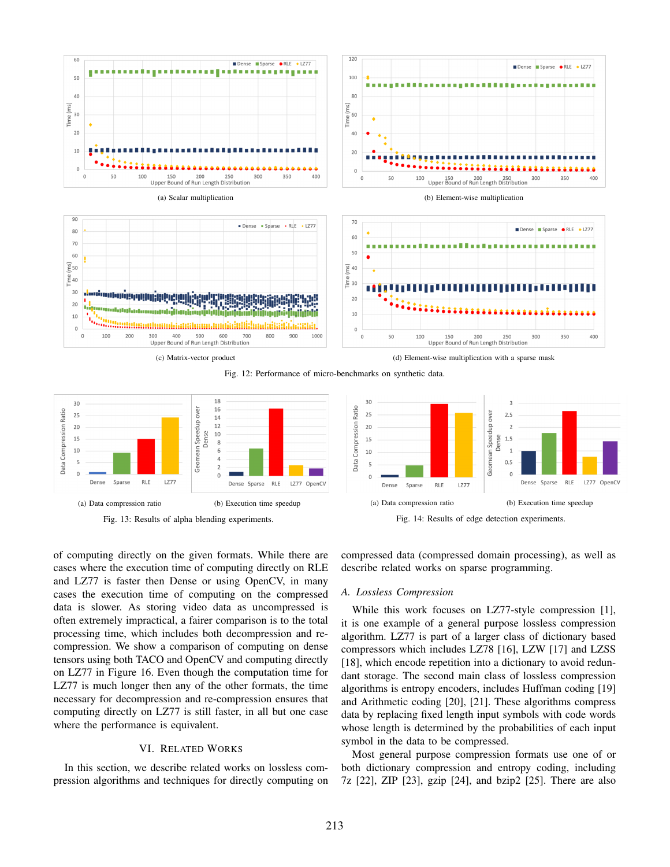<span id="page-8-0"></span>

Fig. 12: Performance of micro-benchmarks on synthetic data.

<span id="page-8-1"></span>



Fig. 14: Results of edge detection experiments.

of computing directly on the given formats. While there are cases where the execution time of computing directly on RLE and LZ77 is faster then Dense or using OpenCV, in many cases the execution time of computing on the compressed data is slower. As storing video data as uncompressed is often extremely impractical, a fairer comparison is to the total processing time, which includes both decompression and recompression. We show a comparison of computing on dense tensors using both TACO and OpenCV and computing directly on LZ77 in Figure [16.](#page-9-0) Even though the computation time for LZ77 is much longer then any of the other formats, the time necessary for decompression and re-compression ensures that computing directly on LZ77 is still faster, in all but one case where the performance is equivalent.

## VI. RELATED WORKS

In this section, we describe related works on lossless compression algorithms and techniques for directly computing on compressed data (compressed domain processing), as well as describe related works on sparse programming.

#### *A. Lossless Compression*

While this work focuses on LZ77-style compression [\[1\]](#page-10-0), it is one example of a general purpose lossless compression algorithm. LZ77 is part of a larger class of dictionary based compressors which includes LZ78 [\[16\]](#page-10-14), LZW [\[17\]](#page-10-15) and LZSS [\[18\]](#page-10-16), which encode repetition into a dictionary to avoid redundant storage. The second main class of lossless compression algorithms is entropy encoders, includes Huffman coding [\[19\]](#page-10-17) and Arithmetic coding [\[20\]](#page-10-18), [\[21\]](#page-10-19). These algorithms compress data by replacing fixed length input symbols with code words whose length is determined by the probabilities of each input symbol in the data to be compressed.

Most general purpose compression formats use one of or both dictionary compression and entropy coding, including 7z [\[22\]](#page-10-20), ZIP [\[23\]](#page-10-21), gzip [\[24\]](#page-10-22), and bzip2 [\[25\]](#page-10-23). There are also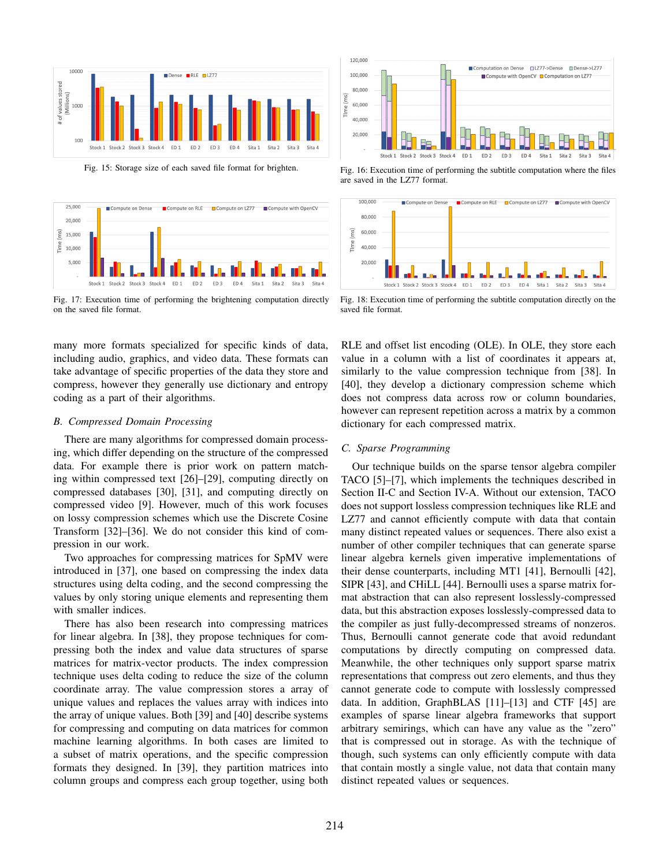<span id="page-9-0"></span>

Fig. 15: Storage size of each saved file format for brighten. Fig. 16: Execution time of performing the subtitle computation where the files



Stock 1 Stock 2 Stock 3 Stock 4 ED 1 ED<sub>2</sub> ED<sub>3</sub> ED 4 Sita 1 Sita 2 Sita 3 Sita 4

Compute on RLE □ Compute on LZ77 □ Compute with Op

Fig. 17: Execution time of performing the brightening computation directly on the saved file format.

many more formats specialized for specific kinds of data, including audio, graphics, and video data. These formats can take advantage of specific properties of the data they store and compress, however they generally use dictionary and entropy coding as a part of their algorithms.

# *B. Compressed Domain Processing*

There are many algorithms for compressed domain processing, which differ depending on the structure of the compressed data. For example there is prior work on pattern matching within compressed text [\[26\]](#page-10-24)–[\[29\]](#page-10-25), computing directly on compressed databases [\[30\]](#page-10-26), [\[31\]](#page-10-27), and computing directly on compressed video [\[9\]](#page-10-8). However, much of this work focuses on lossy compression schemes which use the Discrete Cosine Transform [\[32\]](#page-10-28)–[\[36\]](#page-11-0). We do not consider this kind of compression in our work.

Two approaches for compressing matrices for SpMV were introduced in [\[37\]](#page-11-1), one based on compressing the index data structures using delta coding, and the second compressing the values by only storing unique elements and representing them with smaller indices.

There has also been research into compressing matrices for linear algebra. In [\[38\]](#page-11-2), they propose techniques for compressing both the index and value data structures of sparse matrices for matrix-vector products. The index compression technique uses delta coding to reduce the size of the column coordinate array. The value compression stores a array of unique values and replaces the values array with indices into the array of unique values. Both [\[39\]](#page-11-3) and [\[40\]](#page-11-4) describe systems for compressing and computing on data matrices for common machine learning algorithms. In both cases are limited to a subset of matrix operations, and the specific compression formats they designed. In [\[39\]](#page-11-3), they partition matrices into column groups and compress each group together, using both

Fig. 18: Execution time of performing the subtitle computation directly on the saved file format.

RLE and offset list encoding (OLE). In OLE, they store each value in a column with a list of coordinates it appears at, similarly to the value compression technique from [\[38\]](#page-11-2). In [\[40\]](#page-11-4), they develop a dictionary compression scheme which does not compress data across row or column boundaries, however can represent repetition across a matrix by a common dictionary for each compressed matrix.

# *C. Sparse Programming*

are saved in the LZ77 format.

Compute on Dense

100,000

80,00

40,000

20,000

 $(ms)$ 60,00

Time

Our technique builds on the sparse tensor algebra compiler TACO [\[5\]](#page-10-4)–[\[7\]](#page-10-5), which implements the techniques described in Section [II-C](#page-2-5) and Section [IV-A.](#page-4-1) Without our extension, TACO does not support lossless compression techniques like RLE and LZ77 and cannot efficiently compute with data that contain many distinct repeated values or sequences. There also exist a number of other compiler techniques that can generate sparse linear algebra kernels given imperative implementations of their dense counterparts, including MT1 [\[41\]](#page-11-5), Bernoulli [\[42\]](#page-11-6), SIPR [\[43\]](#page-11-7), and CHiLL [\[44\]](#page-11-8). Bernoulli uses a sparse matrix format abstraction that can also represent losslessly-compressed data, but this abstraction exposes losslessly-compressed data to the compiler as just fully-decompressed streams of nonzeros. Thus, Bernoulli cannot generate code that avoid redundant computations by directly computing on compressed data. Meanwhile, the other techniques only support sparse matrix representations that compress out zero elements, and thus they cannot generate code to compute with losslessly compressed data. In addition, GraphBLAS [\[11\]](#page-10-10)–[\[13\]](#page-10-11) and CTF [\[45\]](#page-11-9) are examples of sparse linear algebra frameworks that support arbitrary semirings, which can have any value as the "zero" that is compressed out in storage. As with the technique of though, such systems can only efficiently compute with data that contain mostly a single value, not data that contain many distinct repeated values or sequences.

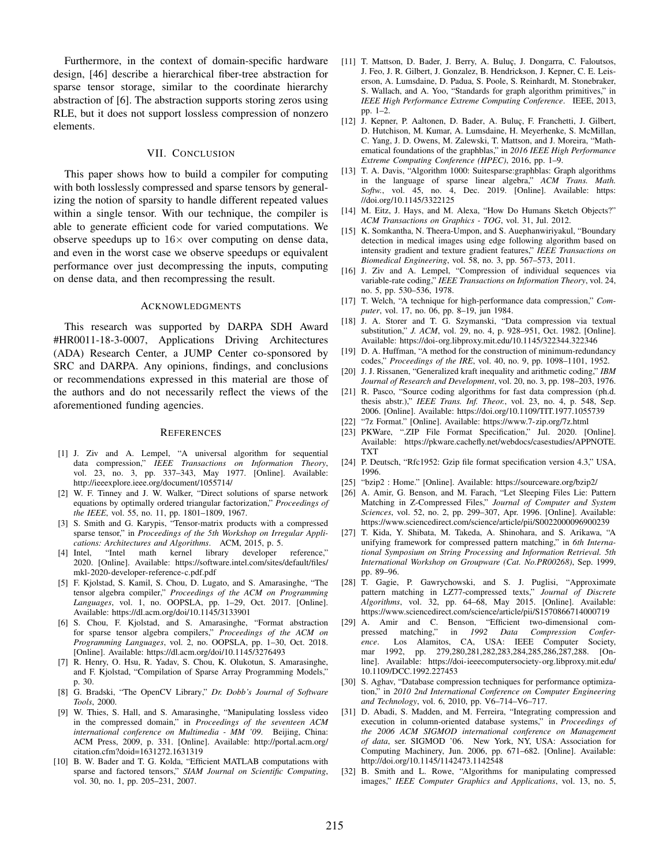Furthermore, in the context of domain-specific hardware design, [\[46\]](#page-11-10) describe a hierarchical fiber-tree abstraction for sparse tensor storage, similar to the coordinate hierarchy abstraction of [\[6\]](#page-10-6). The abstraction supports storing zeros using RLE, but it does not support lossless compression of nonzero elements.

## VII. CONCLUSION

This paper shows how to build a compiler for computing with both losslessly compressed and sparse tensors by generalizing the notion of sparsity to handle different repeated values within a single tensor. With our technique, the compiler is able to generate efficient code for varied computations. We observe speedups up to  $16\times$  over computing on dense data, and even in the worst case we observe speedups or equivalent performance over just decompressing the inputs, computing on dense data, and then recompressing the result.

#### ACKNOWLEDGMENTS

This research was supported by DARPA SDH Award #HR0011-18-3-0007, Applications Driving Architectures (ADA) Research Center, a JUMP Center co-sponsored by SRC and DARPA. Any opinions, findings, and conclusions or recommendations expressed in this material are those of the authors and do not necessarily reflect the views of the aforementioned funding agencies.

#### **REFERENCES**

- <span id="page-10-0"></span>[1] J. Ziv and A. Lempel, "A universal algorithm for sequential data compression," *IEEE Transactions on Information Theory*, vol. 23, no. 3, pp. 337–343, May 1977. [Online]. Available: <http://ieeexplore.ieee.org/document/1055714/>
- <span id="page-10-1"></span>[2] W. F. Tinney and J. W. Walker, "Direct solutions of sparse network equations by optimally ordered triangular factorization," *Proceedings of the IEEE*, vol. 55, no. 11, pp. 1801–1809, 1967.
- <span id="page-10-2"></span>[3] S. Smith and G. Karypis, "Tensor-matrix products with a compressed sparse tensor," in *Proceedings of the 5th Workshop on Irregular Applications: Architectures and Algorithms*. ACM, 2015, p. 5.
- <span id="page-10-3"></span>[4] Intel, "Intel math kernel library developer reference," 2020. [Online]. Available: [https://software.intel.com/sites/default/files/](https://software.intel.com/sites/default/files/mkl-2020-developer-reference-c.pdf.pdf) [mkl-2020-developer-reference-c.pdf.pdf](https://software.intel.com/sites/default/files/mkl-2020-developer-reference-c.pdf.pdf)
- <span id="page-10-4"></span>[5] F. Kjolstad, S. Kamil, S. Chou, D. Lugato, and S. Amarasinghe, "The tensor algebra compiler," *Proceedings of the ACM on Programming Languages*, vol. 1, no. OOPSLA, pp. 1–29, Oct. 2017. [Online]. Available:<https://dl.acm.org/doi/10.1145/3133901>
- <span id="page-10-6"></span>[6] S. Chou, F. Kjolstad, and S. Amarasinghe, "Format abstraction for sparse tensor algebra compilers," *Proceedings of the ACM on Programming Languages*, vol. 2, no. OOPSLA, pp. 1–30, Oct. 2018. [Online]. Available:<https://dl.acm.org/doi/10.1145/3276493>
- <span id="page-10-5"></span>[7] R. Henry, O. Hsu, R. Yadav, S. Chou, K. Olukotun, S. Amarasinghe, and F. Kjolstad, "Compilation of Sparse Array Programming Models," p. 30.
- <span id="page-10-7"></span>[8] G. Bradski, "The OpenCV Library," *Dr. Dobb's Journal of Software Tools*, 2000.
- <span id="page-10-8"></span>[9] W. Thies, S. Hall, and S. Amarasinghe, "Manipulating lossless video in the compressed domain," in *Proceedings of the seventeen ACM international conference on Multimedia - MM '09*. Beijing, China: ACM Press, 2009, p. 331. [Online]. Available: [http://portal.acm.org/](http://portal.acm.org/citation.cfm?doid=1631272.1631319) [citation.cfm?doid=1631272.1631319](http://portal.acm.org/citation.cfm?doid=1631272.1631319)
- <span id="page-10-9"></span>[10] B. W. Bader and T. G. Kolda, "Efficient MATLAB computations with sparse and factored tensors," *SIAM Journal on Scientific Computing*, vol. 30, no. 1, pp. 205–231, 2007.
- <span id="page-10-10"></span>[11] T. Mattson, D. Bader, J. Berry, A. Buluç, J. Dongarra, C. Faloutsos, J. Feo, J. R. Gilbert, J. Gonzalez, B. Hendrickson, J. Kepner, C. E. Leiserson, A. Lumsdaine, D. Padua, S. Poole, S. Reinhardt, M. Stonebraker, S. Wallach, and A. Yoo, "Standards for graph algorithm primitives," in *IEEE High Performance Extreme Computing Conference*. IEEE, 2013, pp. 1–2.
- [12] J. Kepner, P. Aaltonen, D. Bader, A. Buluç, F. Franchetti, J. Gilbert, D. Hutchison, M. Kumar, A. Lumsdaine, H. Meyerhenke, S. McMillan, C. Yang, J. D. Owens, M. Zalewski, T. Mattson, and J. Moreira, "Mathematical foundations of the graphblas," in *2016 IEEE High Performance Extreme Computing Conference (HPEC)*, 2016, pp. 1–9.
- <span id="page-10-11"></span>[13] T. A. Davis, "Algorithm 1000: Suitesparse:graphblas: Graph algorithms in the language of sparse linear algebra," *ACM Trans. Math. Softw.*, vol. 45, no. 4, Dec. 2019. [Online]. Available: [https:](https://doi.org/10.1145/3322125) [//doi.org/10.1145/3322125](https://doi.org/10.1145/3322125)
- <span id="page-10-12"></span>[14] M. Eitz, J. Hays, and M. Alexa, "How Do Humans Sketch Objects?" *ACM Transactions on Graphics - TOG*, vol. 31, Jul. 2012.
- <span id="page-10-13"></span>[15] K. Somkantha, N. Theera-Umpon, and S. Auephanwiriyakul, "Boundary detection in medical images using edge following algorithm based on intensity gradient and texture gradient features," *IEEE Transactions on Biomedical Engineering*, vol. 58, no. 3, pp. 567–573, 2011.
- <span id="page-10-14"></span>[16] J. Ziv and A. Lempel, "Compression of individual sequences via variable-rate coding," *IEEE Transactions on Information Theory*, vol. 24, no. 5, pp. 530–536, 1978.
- <span id="page-10-15"></span>[17] T. Welch, "A technique for high-performance data compression," *Computer*, vol. 17, no. 06, pp. 8–19, jun 1984.
- <span id="page-10-16"></span>[18] J. A. Storer and T. G. Szymanski, "Data compression via textual substitution," *J. ACM*, vol. 29, no. 4, p. 928–951, Oct. 1982. [Online]. Available:<https://doi-org.libproxy.mit.edu/10.1145/322344.322346>
- <span id="page-10-17"></span>[19] D. A. Huffman, "A method for the construction of minimum-redundancy codes," *Proceedings of the IRE*, vol. 40, no. 9, pp. 1098–1101, 1952.
- <span id="page-10-18"></span>[20] J. J. Rissanen, "Generalized kraft inequality and arithmetic coding," *IBM Journal of Research and Development*, vol. 20, no. 3, pp. 198–203, 1976.
- <span id="page-10-19"></span>[21] R. Pasco, "Source coding algorithms for fast data compression (ph.d. thesis abstr.)," *IEEE Trans. Inf. Theor.*, vol. 23, no. 4, p. 548, Sep. 2006. [Online]. Available:<https://doi.org/10.1109/TIT.1977.1055739>
- <span id="page-10-20"></span>[22] "7z Format." [Online]. Available:<https://www.7-zip.org/7z.html>
- <span id="page-10-21"></span>[23] PKWare, ".ZIP File Format Specification," Jul. 2020. [Online]. Available: [https://pkware.cachefly.net/webdocs/casestudies/APPNOTE.](https://pkware.cachefly.net/webdocs/casestudies/APPNOTE.TXT) [TXT](https://pkware.cachefly.net/webdocs/casestudies/APPNOTE.TXT)
- <span id="page-10-22"></span>[24] P. Deutsch, "Rfc1952: Gzip file format specification version 4.3," USA, 1996.
- <span id="page-10-23"></span>[25] "bzip2 : Home." [Online]. Available:<https://sourceware.org/bzip2/>
- <span id="page-10-24"></span>[26] A. Amir, G. Benson, and M. Farach, "Let Sleeping Files Lie: Pattern Matching in Z-Compressed Files," *Journal of Computer and System Sciences*, vol. 52, no. 2, pp. 299–307, Apr. 1996. [Online]. Available: <https://www.sciencedirect.com/science/article/pii/S0022000096900239>
- [27] T. Kida, Y. Shibata, M. Takeda, A. Shinohara, and S. Arikawa, "A unifying framework for compressed pattern matching," in *6th International Symposium on String Processing and Information Retrieval. 5th International Workshop on Groupware (Cat. No.PR00268)*, Sep. 1999, pp. 89–96.
- [28] T. Gagie, P. Gawrychowski, and S. J. Puglisi, "Approximate pattern matching in LZ77-compressed texts," *Journal of Discrete Algorithms*, vol. 32, pp. 64–68, May 2015. [Online]. Available: <https://www.sciencedirect.com/science/article/pii/S1570866714000719>
- <span id="page-10-25"></span>[29] A. Amir and C. Benson, "Efficient two-dimensional compressed matching," in *1992 Data Compression Conference*. Los Alamitos, CA, USA: IEEE Computer Society, mar 1992, pp. 279,280,281,282,283,284,285,286,287,288. [Online]. Available: [https://doi-ieeecomputersociety-org.libproxy.mit.edu/](https://doi-ieeecomputersociety-org.libproxy.mit.edu/10.1109/DCC.1992.227453) [10.1109/DCC.1992.227453](https://doi-ieeecomputersociety-org.libproxy.mit.edu/10.1109/DCC.1992.227453)
- <span id="page-10-26"></span>[30] S. Aghav, "Database compression techniques for performance optimization," in *2010 2nd International Conference on Computer Engineering and Technology*, vol. 6, 2010, pp. V6–714–V6–717.
- <span id="page-10-27"></span>[31] D. Abadi, S. Madden, and M. Ferreira, "Integrating compression and execution in column-oriented database systems," in *Proceedings of the 2006 ACM SIGMOD international conference on Management of data*, ser. SIGMOD '06. New York, NY, USA: Association for Computing Machinery, Jun. 2006, pp. 671–682. [Online]. Available: <http://doi.org/10.1145/1142473.1142548>
- <span id="page-10-28"></span>[32] B. Smith and L. Rowe, "Algorithms for manipulating compressed images," *IEEE Computer Graphics and Applications*, vol. 13, no. 5,